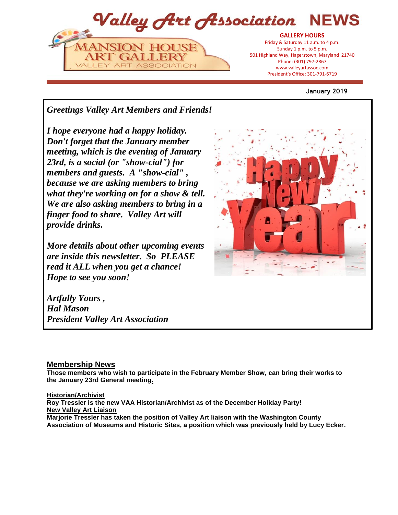

#### **January 2019**

*Greetings Valley Art Members and Friends!*

*I hope everyone had a happy holiday. Don't forget that the January member meeting, which is the evening of January 23rd, is a social (or "show-cial") for members and guests. A "show-cial" , because we are asking members to bring what they're working on for a show & tell. We are also asking members to bring in a finger food to share. Valley Art will provide drinks.*

*More details about other upcoming events are inside this newsletter. So PLEASE read it ALL when you get a chance! Hope to see you soon!*

*Artfully Yours , Hal Mason President Valley Art Association* 

# **Membership News**

**Those members who wish to participate in the February Member Show, can bring their works to the January 23rd General meeting.**

#### **Historian/Archivist**

**Roy Tressler is the new VAA Historian/Archivist as of the December Holiday Party! New Valley Art Liaison**

**Marjorie Tressler has taken the position of Valley Art liaison with the Washington County Association of Museums and Historic Sites, a position which was previously held by Lucy Ecker.**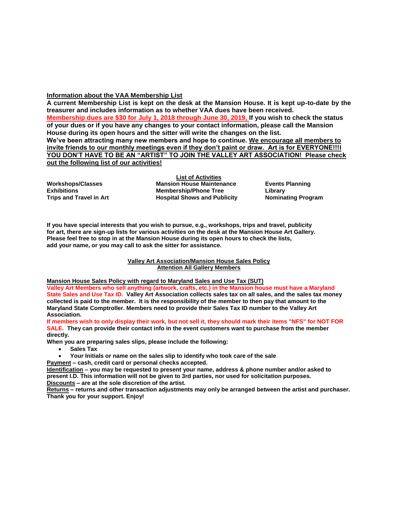#### **Information about the VAA Membership List**

**A current Membership List is kept on the desk at the Mansion House. It is kept up-to-date by the treasurer and includes information as to whether VAA dues have been received. Membership dues are \$30 for July 1, 2018 through June 30, 2019, If you wish to check the status of your dues or if you have any changes to your contact information, please call the Mansion House during its open hours and the sitter will write the changes on the list. We've been attracting many new members and hope to continue. We encourage all members to invite friends to our monthly meetings even if they don't paint or draw. Art is for EVERYONE!!!I YOU DON'T HAVE TO BE AN "ARTIST" TO JOIN THE VALLEY ART ASSOCIATION! Please check out the following list of our activities!**

**Workshops/Classes Exhibitions Trips and Travel in Art**

**List of Activities Mansion House Maintenance Membership/Phone Tree Hospital Shows and Publicity**

**Events Planning Library Nominating Program**

**If you have special interests that you wish to pursue, e.g., workshops, trips and travel, publicity for art, there are sign-up lists for various activities on the desk at the Mansion House Art Gallery. Please feel free to stop in at the Mansion House during its open hours to check the lists, add your name, or you may call to ask the sitter for assistance.**

> **Valley Art Association/Mansion House Sales Policy Attention All Gallery Members**

**Mansion House Sales Policy with regard to Maryland Sales and Use Tax (SUT)**

**Valley Art Members who sell anything (artwork, crafts, etc.) in the Mansion house must have a Maryland State Sales and Use Tax ID. Valley Art Association collects sales tax on all sales, and the sales tax money collected is paid to the member. It is the responsibility of the member to then pay that amount to the Maryland State Comptroller. Members need to provide their Sales Tax ID number to the Valley Art Association.** 

**If members wish to only display their work, but not sell it, they should mark their items "NFS" for NOT FOR SALE. They can provide their contact info in the event customers want to purchase from the member directly.** 

**When you are preparing sales slips, please include the following:**

- **Sales Tax**
- **Your Initials or name on the sales slip to identify who took care of the sale**

**Payment – cash, credit card or personal checks accepted.**

**Identification – you may be requested to present your name, address & phone number and/or asked to present I.D. This information will not be given to 3rd parties, nor used for solicitation purposes. Discounts – are at the sole discretion of the artist.**

**Returns – returns and other transaction adjustments may only be arranged between the artist and purchaser. Thank you for your support. Enjoy!**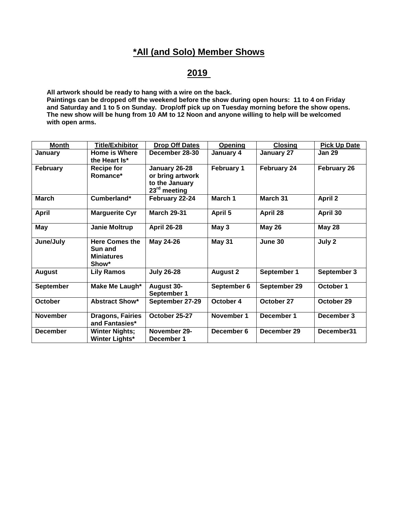# **\*All (and Solo) Member Shows**

# **2019**

**All artwork should be ready to hang with a wire on the back.**

**Paintings can be dropped off the weekend before the show during open hours: 11 to 4 on Friday and Saturday and 1 to 5 on Sunday. Drop/off pick up on Tuesday morning before the show opens. The new show will be hung from 10 AM to 12 Noon and anyone willing to help will be welcomed with open arms.** 

| <b>Month</b>     | <b>Title/Exhibitor</b>                                         | <b>Drop Off Dates</b>                                                           | Opening           | <b>Closing</b> | <b>Pick Up Date</b> |
|------------------|----------------------------------------------------------------|---------------------------------------------------------------------------------|-------------------|----------------|---------------------|
| January          | <b>Home is Where</b><br>the Heart Is*                          | December 28-30                                                                  | January 4         | January 27     | <b>Jan 29</b>       |
| <b>February</b>  | <b>Recipe for</b><br>Romance*                                  | January 26-28<br>or bring artwork<br>to the January<br>23 <sup>rd</sup> meeting | <b>February 1</b> | February 24    | February 26         |
| <b>March</b>     | Cumberland*                                                    | February 22-24                                                                  | March 1           | March 31       | <b>April 2</b>      |
| <b>April</b>     | <b>Marguerite Cyr</b>                                          | <b>March 29-31</b>                                                              | April 5           | April 28       | April 30            |
| May              | Janie Moltrup                                                  | <b>April 26-28</b>                                                              | May 3             | <b>May 26</b>  | <b>May 28</b>       |
| June/July        | <b>Here Comes the</b><br>Sun and<br><b>Miniatures</b><br>Show* | May 24-26                                                                       | <b>May 31</b>     | June 30        | July 2              |
| <b>August</b>    | <b>Lily Ramos</b>                                              | <b>July 26-28</b>                                                               | <b>August 2</b>   | September 1    | September 3         |
| <b>September</b> | Make Me Laugh*                                                 | <b>August 30-</b><br>September 1                                                | September 6       | September 29   | October 1           |
| <b>October</b>   | <b>Abstract Show*</b>                                          | September 27-29                                                                 | October 4         | October 27     | October 29          |
| <b>November</b>  | <b>Dragons, Fairies</b><br>and Fantasies*                      | October 25-27                                                                   | November 1        | December 1     | December 3          |
| <b>December</b>  | <b>Winter Nights;</b><br><b>Winter Lights*</b>                 | November 29-<br>December 1                                                      | December 6        | December 29    | December31          |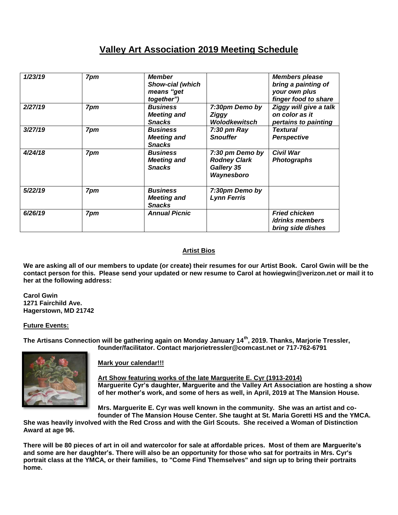# **Valley Art Association 2019 Meeting Schedule**

| 1/23/19 | 7pm | <b>Member</b><br><b>Show-cial (which</b><br>means "get<br>together") |                                                                    | <b>Members please</b><br>bring a painting of<br>your own plus<br>finger food to share |
|---------|-----|----------------------------------------------------------------------|--------------------------------------------------------------------|---------------------------------------------------------------------------------------|
| 2/27/19 | 7pm | <b>Business</b><br><b>Meeting and</b><br><b>Snacks</b>               | 7:30pm Demo by<br>Ziggy<br>Wolodkewitsch                           | Ziggy will give a talk<br>on color as it<br>pertains to painting                      |
| 3/27/19 | 7pm | <b>Business</b><br><b>Meeting and</b><br><b>Snacks</b>               | $7:30$ pm Ray<br><b>Snouffer</b>                                   | <b>Textural</b><br><b>Perspective</b>                                                 |
| 4/24/18 | 7pm | <b>Business</b><br><b>Meeting and</b><br><b>Snacks</b>               | 7:30 pm Demo by<br><b>Rodney Clark</b><br>Gallery 35<br>Waynesboro | <b>Civil War</b><br><b>Photographs</b>                                                |
| 5/22/19 | 7pm | <b>Business</b><br><b>Meeting and</b><br><b>Snacks</b>               | 7:30pm Demo by<br><b>Lynn Ferris</b>                               |                                                                                       |
| 6/26/19 | 7pm | <b>Annual Picnic</b>                                                 |                                                                    | <b>Fried chicken</b><br>/drinks members<br>bring side dishes                          |

# **Artist Bios**

**We are asking all of our members to update (or create) their resumes for our Artist Book. Carol Gwin will be the contact person for this. Please send your updated or new resume to Carol at howiegwin@verizon.net or mail it to her at the following address:**

**Carol Gwin 1271 Fairchild Ave. Hagerstown, MD 21742**

# **Future Events:**

**The Artisans Connection will be gathering again on Monday January 14th , 2019. Thanks, Marjorie Tressler, founder/facilitator. Contact marjorietressler@comcast.net or 717-762-6791**



# **Mark your calendar!!!**

**Art Show featuring works of the late Marguerite E. Cyr (1913-2014) Marguerite Cyr's daughter, Marguerite and the Valley Art Association are hosting a show of her mother's work, and some of hers as well, in April, 2019 at The Mansion House.**

**Mrs. Marguerite E. Cyr was well known in the community. She was an artist and cofounder of The Mansion House Center. She taught at St. Maria Goretti HS and the YMCA.** 

**She was heavily involved with the Red Cross and with the Girl Scouts. She received a Woman of Distinction Award at age 96.** 

**There will be 80 pieces of art in oil and watercolor for sale at affordable prices. Most of them are Marguerite's and some are her daughter's. There will also be an opportunity for those who sat for portraits in Mrs. Cyr's portrait class at the YMCA, or their families, to "Come Find Themselves" and sign up to bring their portraits home.**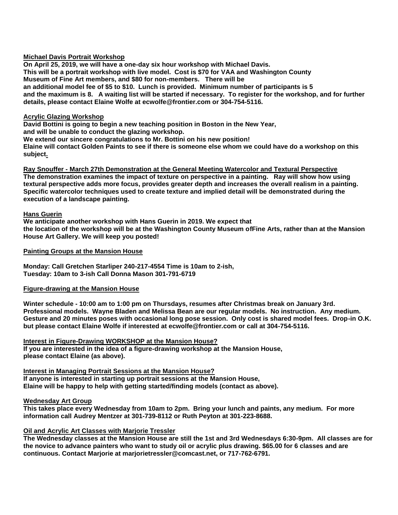#### **Michael Davis Portrait Workshop**

**On April 25, 2019, we will have a one-day six hour workshop with Michael Davis. This will be a portrait workshop with live model. Cost is \$70 for VAA and Washington County Museum of Fine Art members, and \$80 for non-members. There will be an additional model fee of \$5 to \$10. Lunch is provided. Minimum number of participants is 5 and the maximum is 8. A waiting list will be started if necessary. To register for the workshop, and for further details, please contact Elaine Wolfe at ecwolfe@frontier.com or 304-754-5116.** 

#### **Acrylic Glazing Workshop**

**David Bottini is going to begin a new teaching position in Boston in the New Year, and will be unable to conduct the glazing workshop. We extend our sincere congratulations to Mr. Bottini on his new position! Elaine will contact Golden Paints to see if there is someone else whom we could have do a workshop on this subject.** 

**Ray Snouffer - March 27th Demonstration at the General Meeting Watercolor and Textural Perspective The demonstration examines the impact of texture on perspective in a painting. Ray will show how using textural perspective adds more focus, provides greater depth and increases the overall realism in a painting. Specific watercolor techniques used to create texture and implied detail will be demonstrated during the execution of a landscape painting.** 

#### **Hans Guerin**

**We anticipate another workshop with Hans Guerin in 2019. We expect that the location of the workshop will be at the Washington County Museum ofFine Arts, rather than at the Mansion House Art Gallery. We will keep you posted!**

#### **Painting Groups at the Mansion House**

**Monday: Call Gretchen Starliper 240-217-4554 Time is 10am to 2-ish, Tuesday: 10am to 3-ish Call Donna Mason 301-791-6719**

#### **Figure-drawing at the Mansion House**

**Winter schedule - 10:00 am to 1:00 pm on Thursdays, resumes after Christmas break on January 3rd. Professional models. Wayne Bladen and Melissa Bean are our regular models. No instruction. Any medium. Gesture and 20 minutes poses with occasional long pose session. Only cost is shared model fees. Drop-in O.K. but please contact Elaine Wolfe if interested at ecwolfe@frontier.com or call at 304-754-5116.** 

**Interest in Figure-Drawing WORKSHOP at the Mansion House? If you are interested in the idea of a figure-drawing workshop at the Mansion House, please contact Elaine (as above).**

**Interest in Managing Portrait Sessions at the Mansion House? If anyone is interested in starting up portrait sessions at the Mansion House, Elaine will be happy to help with getting started/finding models (contact as above).**

#### **Wednesday Art Group**

**This takes place every Wednesday from 10am to 2pm. Bring your lunch and paints, any medium. For more information call Audrey Mentzer at 301-739-8112 or Ruth Peyton at 301-223-8688.**

# **Oil and Acrylic Art Classes with Marjorie Tressler**

**The Wednesday classes at the Mansion House are still the 1st and 3rd Wednesdays 6:30-9pm. All classes are for the novice to advance painters who want to study oil or acrylic plus drawing. \$65.00 for 6 classes and are continuous. Contact Marjorie at marjorietressler@comcast.net, or 717-762-6791.**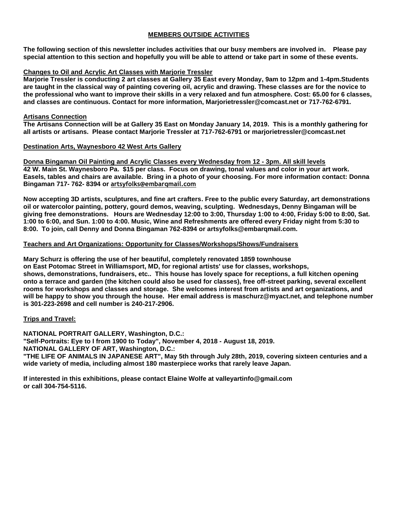### **MEMBERS OUTSIDE ACTIVITIES**

**The following section of this newsletter includes activities that our busy members are involved in. Please pay special attention to this section and hopefully you will be able to attend or take part in some of these events.**

#### **Changes to Oil and Acrylic Art Classes with Marjorie Tressler**

**Marjorie Tressler is conducting 2 art classes at Gallery 35 East every Monday, 9am to 12pm and 1-4pm.Students are taught in the classical way of painting covering oil, acrylic and drawing. These classes are for the novice to the professional who want to improve their skills in a very relaxed and fun atmosphere. Cost: 65.00 for 6 classes, and classes are continuous. Contact for more information, Marjorietressler@comcast.net or 717-762-6791.** 

#### **Artisans Connection**

**The Artisans Connection will be at Gallery 35 East on Monday January 14, 2019. This is a monthly gathering for all artists or artisans. Please contact Marjorie Tressler at 717-762-6791 or marjorietressler@comcast.net**

#### **Destination Arts, Waynesboro 42 West Arts Gallery**

**Donna Bingaman Oil Painting and Acrylic Classes every Wednesday from 12 - 3pm. All skill levels 42 W. Main St. Waynesboro Pa. \$15 per class. Focus on drawing, tonal values and color in your art work. Easels, tables and chairs are available. Bring in a photo of your choosing. For more information contact: Donna Bingaman 717- 762- 8394 or artsyfolks@embarqmail.com**

**Now accepting 3D artists, sculptures, and fine art crafters. Free to the public every Saturday, art demonstrations oil or watercolor painting, pottery, gourd demos, weaving, sculpting. Wednesdays, Denny Bingaman will be giving free demonstrations. Hours are Wednesday 12:00 to 3:00, Thursday 1:00 to 4:00, Friday 5:00 to 8:00, Sat. 1:00 to 6:00, and Sun. 1:00 to 4:00. Music, Wine and Refreshments are offered every Friday night from 5:30 to 8:00. To join, call Denny and Donna Bingaman 762-8394 or artsyfolks@embarqmail.com.** 

#### **Teachers and Art Organizations: Opportunity for Classes/Workshops/Shows/Fundraisers**

**Mary Schurz is offering the use of her beautiful, completely renovated 1859 townhouse on East Potomac Street in Williamsport, MD, for regional artists' use for classes, workshops, shows, demonstrations, fundraisers, etc.. This house has lovely space for receptions, a full kitchen opening onto a terrace and garden (the kitchen could also be used for classes), free off-street parking, several excellent rooms for workshops and classes and storage. She welcomes interest from artists and art organizations, and will be happy to show you through the house. Her email address is maschurz@myact.net, and telephone number is 301-223-2698 and cell number is 240-217-2906.**

#### **Trips and Travel:**

**NATIONAL PORTRAIT GALLERY, Washington, D.C.: "Self-Portraits: Eye to I from 1900 to Today", November 4, 2018 - August 18, 2019. NATIONAL GALLERY OF ART, Washington, D.C.: "THE LIFE OF ANIMALS IN JAPANESE ART", May 5th through July 28th, 2019, covering sixteen centuries and a wide variety of media, including almost 180 masterpiece works that rarely leave Japan.**

**If interested in this exhibitions, please contact Elaine Wolfe at valleyartinfo@gmail.com or call 304-754-5116.**